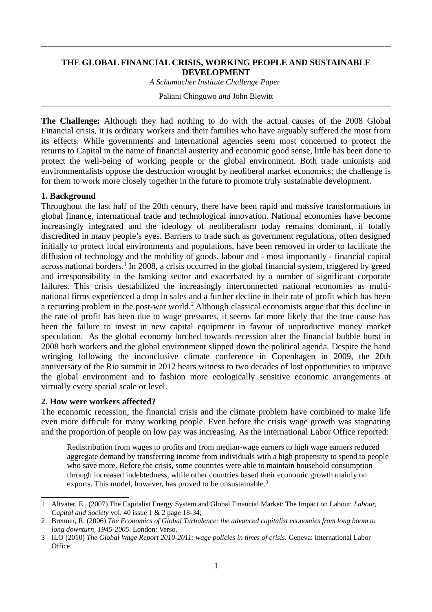# **THE GLOBAL FINANCIAL CRISIS, WORKING PEOPLE AND SUSTAINABLE DEVELOPMENT**

*A Schumacher Institute Challenge Paper* 

Paliani Chinguwo *and* John Blewitt

**The Challenge:** Although they had nothing to do with the actual causes of the 2008 Global Financial crisis, it is ordinary workers and their families who have arguably suffered the most from its effects. While governments and international agencies seem most concerned to protect the returns to Capital in the name of financial austerity and economic good sense, little has been done to protect the well-being of working people or the global environment. Both trade unionists and environmentalists oppose the destruction wrought by neoliberal market economics; the challenge is for them to work more closely together in the future to promote truly sustainable development.

### **1. Background**

Throughout the last half of the 20th century, there have been rapid and massive transformations in global finance, international trade and technological innovation. National economies have become increasingly integrated and the ideology of neoliberalism today remains dominant, if totally discredited in many people's eyes. Barriers to trade such as government regulations, often designed initially to protect local environments and populations, have been removed in order to facilitate the diffusion of technology and the mobility of goods, labour and - most importantly - financial capital across national borders. $^1$  $^1$  In 2008, a crisis occurred in the global financial system, triggered by greed and irresponsibility in the banking sector and exacerbated by a number of significant corporate failures. This crisis destabilized the increasingly interconnected national economies as multinational firms experienced a drop in sales and a further decline in their rate of profit which has been a recurring problem in the post-war world.<sup>[2](#page-0-1)</sup> Although classical economists argue that this decline in the rate of profit has been due to wage pressures, it seems far more likely that the true cause has been the failure to invest in new capital equipment in favour of unproductive money market speculation. As the global economy lurched towards recession after the financial bubble burst in 2008 both workers and the global environment slipped down the political agenda. Despite the hand wringing following the inconclusive climate conference in Copenhagen in 2009, the 20th anniversary of the Rio summit in 2012 bears witness to two decades of lost opportunities to improve the global environment and to fashion more ecologically sensitive economic arrangements at virtually every spatial scale or level.

## **2. How were workers affected?**

The economic recession, the financial crisis and the climate problem have combined to make life even more difficult for many working people. Even before the crisis wage growth was stagnating and the proportion of people on low pay was increasing. As the International Labor Office reported:

Redistribution from wages to profits and from median-wage earners to high wage earners reduced aggregate demand by transferring income from individuals with a high propensity to spend to people who save more. Before the crisis, some countries were able to maintain household consumption through increased indebtedness, while other countries based their economic growth mainly on exports. This model, however, has proved to be unsustainable.<sup>[3](#page-0-2)</sup>

<span id="page-0-0"></span><sup>1</sup> Altvater, E., (2007) The Capitalist Energy System and Global Financial Market: The Impact on Labour. *Labour, Capital and Society* vol. 40 issue 1 & 2 page 18-34;

<span id="page-0-1"></span><sup>2</sup> Brenner, R. (2006) *The Economics of Global Turbulence: the advanced capitalist economies from long boom to long downturn, 1945-2005.* London: Verso.

<span id="page-0-2"></span><sup>3</sup> ILO (2010) *The Global Wage Report 2010-2011: wage policies in times of crisis.* Geneva: International Labor Office.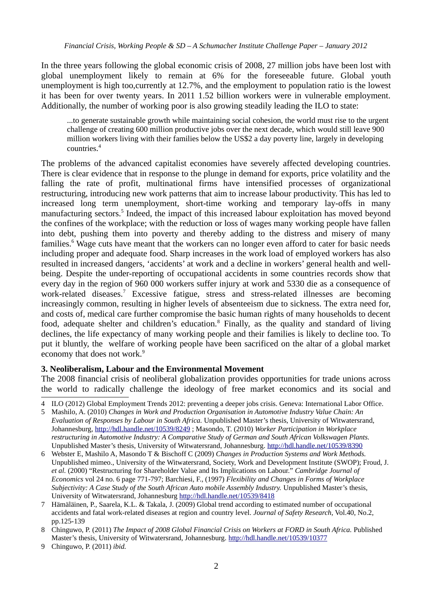In the three years following the global economic crisis of 2008, 27 million jobs have been lost with global unemployment likely to remain at 6% for the foreseeable future. Global youth unemployment is high too,currently at 12.7%, and the employment to population ratio is the lowest it has been for over twenty years. In 2011 1.52 billion workers were in vulnerable employment. Additionally, the number of working poor is also growing steadily leading the ILO to state:

...to generate sustainable growth while maintaining social cohesion, the world must rise to the urgent challenge of creating 600 million productive jobs over the next decade, which would still leave 900 million workers living with their families below the US\$2 a day poverty line, largely in developing countries. [4](#page-1-0)

The problems of the advanced capitalist economies have severely affected developing countries. There is clear evidence that in response to the plunge in demand for exports, price volatility and the falling the rate of profit, multinational firms have intensified processes of organizational restructuring, introducing new work patterns that aim to increase labour productivity. This has led to increased long term unemployment, short-time working and temporary lay-offs in many manufacturing sectors.<sup>[5](#page-1-1)</sup> Indeed, the impact of this increased labour exploitation has moved beyond the confines of the workplace; with the reduction or loss of wages many working people have fallen into debt, pushing them into poverty and thereby adding to the distress and misery of many families.<sup>[6](#page-1-2)</sup> Wage cuts have meant that the workers can no longer even afford to cater for basic needs including proper and adequate food. Sharp increases in the work load of employed workers has also resulted in increased dangers, 'accidents' at work and a decline in workers' general health and wellbeing. Despite the under-reporting of occupational accidents in some countries records show that every day in the region of 960 000 workers suffer injury at work and 5330 die as a consequence of work-related diseases.[7](#page-1-3) Excessive fatigue, stress and stress-related illnesses are becoming increasingly common, resulting in higher levels of absenteeism due to sickness. The extra need for, and costs of, medical care further compromise the basic human rights of many households to decent food, adequate shelter and children's education.<sup>[8](#page-1-4)</sup> Finally, as the quality and standard of living declines, the life expectancy of many working people and their families is likely to decline too. To put it bluntly, the welfare of working people have been sacrificed on the altar of a global market economy that does not work.<sup>[9](#page-1-5)</sup>

## **3. Neoliberalism, Labour and the Environmental Movement**

The 2008 financial crisis of neoliberal globalization provides opportunities for trade unions across the world to radically challenge the ideology of free market economics and its social and

<span id="page-1-0"></span><sup>4</sup> ILO (2012) Global Employment Trends 2012: preventing a deeper jobs crisis. Geneva: International Labor Office.

<span id="page-1-1"></span><sup>5</sup> Mashilo, A. (2010) *Changes in Work and Production Organisation in Automotive Industry Value Chain: An Evaluation of Responses by Labour in South Africa.* Unpublished Master's thesis, University of Witwatersrand, Johannesburg,<http://hdl.handle.net/10539/8249>; Masondo, T. (2010) *Worker Participation in Workplace restructuring in Automotive Industry: A Comparative Study of German and South African Volkswagen Plants.* Unpublished Master's thesis, University of Witwatersrand, Johannesburg.<http://hdl.handle.net/10539/8390>

<span id="page-1-2"></span><sup>6</sup> Webster E, Mashilo A, Masondo T & Bischoff C (2009) *Changes in Production Systems and Work Methods.* Unpublished mimeo., University of the Witwatersrand, Society, Work and Development Institute (SWOP); Froud, J. *et al.* (2000) "Restructuring for Shareholder Value and Its Implications on Labour." *Cambridge Journal of Economics* vol 24 no. 6 page 771-797; Barchiesi, F., (1997) *Flexibility and Changes in Forms of Workplace Subjectivity: A Case Study of the South African Auto mobile Assembly Industry.* Unpublished Master's thesis, University of Witwatersrand, Johannesburg<http://hdl.handle.net/10539/8418>

<span id="page-1-3"></span><sup>7</sup> Hämäläinen, P., Saarela, K.L. & Takala, J. (2009) Global trend according to estimated number of occupational accidents and fatal work-related diseases at region and country level. *Journal of Safety Research*, Vol.40, No.2, pp.125-139

<span id="page-1-4"></span><sup>8</sup> Chinguwo, P. (2011) *The Impact of 2008 Global Financial Crisis on Workers at FORD in South Africa.* Published Master's thesis, University of Witwatersrand, Johannesburg.<http://hdl.handle.net/10539/10377>

<span id="page-1-5"></span><sup>9</sup> Chinguwo, P. (2011) *ibid.*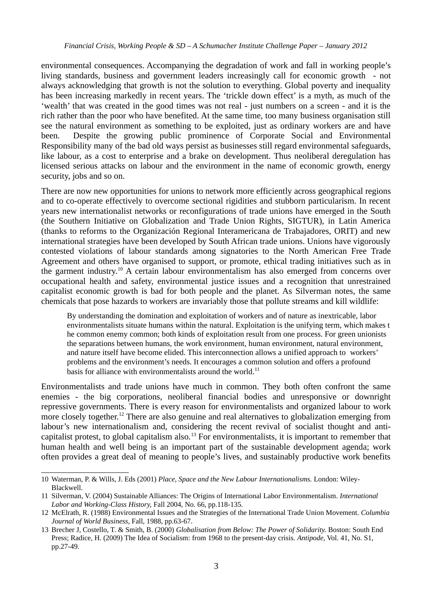environmental consequences. Accompanying the degradation of work and fall in working people's living standards, business and government leaders increasingly call for economic growth - not always acknowledging that growth is not the solution to everything. Global poverty and inequality has been increasing markedly in recent years. The 'trickle down effect' is a myth, as much of the 'wealth' that was created in the good times was not real - just numbers on a screen - and it is the rich rather than the poor who have benefited. At the same time, too many business organisation still see the natural environment as something to be exploited, just as ordinary workers are and have been. Despite the growing public prominence of Corporate Social and Environmental Responsibility many of the bad old ways persist as businesses still regard environmental safeguards, like labour, as a cost to enterprise and a brake on development. Thus neoliberal deregulation has licensed serious attacks on labour and the environment in the name of economic growth, energy security, jobs and so on.

There are now new opportunities for unions to network more efficiently across geographical regions and to co-operate effectively to overcome sectional rigidities and stubborn particularism. In recent years new internationalist networks or reconfigurations of trade unions have emerged in the South (the Southern Initiative on Globalization and Trade Union Rights, SIGTUR), in Latin America (thanks to reforms to the Organización Regional Interamericana de Trabajadores, ORIT) and new international strategies have been developed by South African trade unions. Unions have vigorously contested violations of labour standards among signatories to the North American Free Trade Agreement and others have organised to support, or promote, ethical trading initiatives such as in the garment industry.<sup>[10](#page-2-0)</sup> A certain labour environmentalism has also emerged from concerns over occupational health and safety, environmental justice issues and a recognition that unrestrained capitalist economic growth is bad for both people and the planet. As Silverman notes, the same chemicals that pose hazards to workers are invariably those that pollute streams and kill wildlife:

By understanding the domination and exploitation of workers and of nature as inextricable, labor environmentalists situate humans within the natural. Exploitation is the unifying term, which makes t he common enemy common; both kinds of exploitation result from one process. For green unionists the separations between humans, the work environment, human environment, natural environment, and nature itself have become elided. This interconnection allows a unified approach to workers' problems and the environment's needs. It encourages a common solution and offers a profound basis for alliance with environmentalists around the world. $^{11}$  $^{11}$  $^{11}$ 

Environmentalists and trade unions have much in common. They both often confront the same enemies - the big corporations, neoliberal financial bodies and unresponsive or downright repressive governments. There is every reason for environmentalists and organized labour to work more closely together.<sup>[12](#page-2-2)</sup> There are also genuine and real alternatives to globalization emerging from labour's new internationalism and, considering the recent revival of socialist thought and anti-capitalist protest, to global capitalism also.<sup>[13](#page-2-3)</sup> For environmentalists, it is important to remember that human health and well being is an important part of the sustainable development agenda; work often provides a great deal of meaning to people's lives, and sustainably productive work benefits

<span id="page-2-0"></span><sup>10</sup> Waterman, P. & Wills, J. Eds (2001) *Place, Space and the New Labour Internationalisms.* London: Wiley-Blackwell.

<span id="page-2-1"></span><sup>11</sup> Silverman, V. (2004) Sustainable Alliances: The Origins of International Labor Environmentalism. *International Labor and Working-Class History,* Fall 2004, No. 66, pp.118-135.

<span id="page-2-2"></span><sup>12</sup> McElrath, R. (1988) Environmental Issues and the Strategies of the International Trade Union Movement. *Columbia Journal of World Business*, Fall, 1988, pp.63-67.

<span id="page-2-3"></span><sup>13</sup> Brecher J, Costello, T. & Smith, B. (2000) *Globalisation from Below: The Power of Solidarity.* Boston: South End Press; Radice, H. (2009) The Idea of Socialism: from 1968 to the present-day crisis. *Antipode*, Vol. 41, No. S1, pp.27-49.